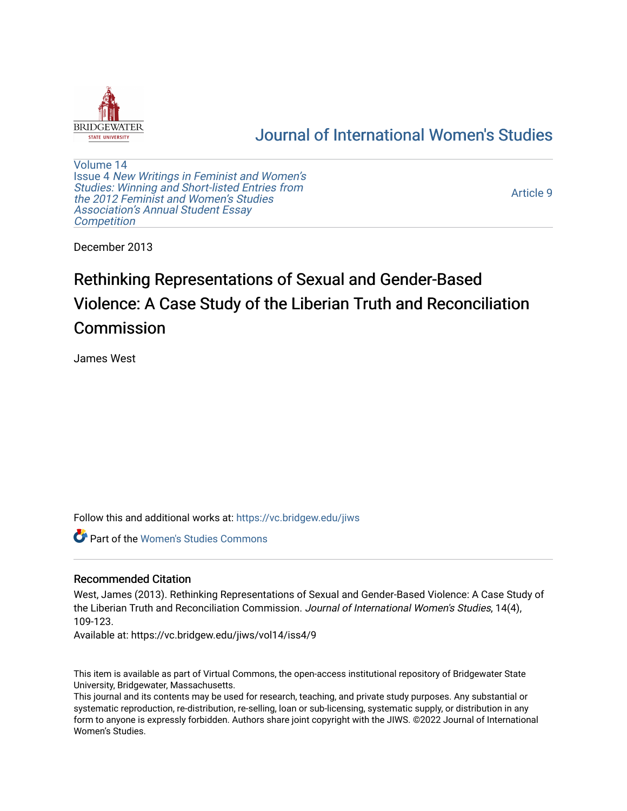

## [Journal of International Women's Studies](https://vc.bridgew.edu/jiws)

[Volume 14](https://vc.bridgew.edu/jiws/vol14) Issue 4 [New Writings in Feminist and Women's](https://vc.bridgew.edu/jiws/vol14/iss4)  [Studies: Winning and Short-listed Entries from](https://vc.bridgew.edu/jiws/vol14/iss4)  [the 2012 Feminist and Women's Studies](https://vc.bridgew.edu/jiws/vol14/iss4)  [Association's Annual Student Essay](https://vc.bridgew.edu/jiws/vol14/iss4) **Competition** 

[Article 9](https://vc.bridgew.edu/jiws/vol14/iss4/9) 

December 2013

# Rethinking Representations of Sexual and Gender-Based Violence: A Case Study of the Liberian Truth and Reconciliation Commission

James West

Follow this and additional works at: [https://vc.bridgew.edu/jiws](https://vc.bridgew.edu/jiws?utm_source=vc.bridgew.edu%2Fjiws%2Fvol14%2Fiss4%2F9&utm_medium=PDF&utm_campaign=PDFCoverPages)

Part of the [Women's Studies Commons](http://network.bepress.com/hgg/discipline/561?utm_source=vc.bridgew.edu%2Fjiws%2Fvol14%2Fiss4%2F9&utm_medium=PDF&utm_campaign=PDFCoverPages) 

#### Recommended Citation

West, James (2013). Rethinking Representations of Sexual and Gender-Based Violence: A Case Study of the Liberian Truth and Reconciliation Commission. Journal of International Women's Studies, 14(4), 109-123.

Available at: https://vc.bridgew.edu/jiws/vol14/iss4/9

This item is available as part of Virtual Commons, the open-access institutional repository of Bridgewater State University, Bridgewater, Massachusetts.

This journal and its contents may be used for research, teaching, and private study purposes. Any substantial or systematic reproduction, re-distribution, re-selling, loan or sub-licensing, systematic supply, or distribution in any form to anyone is expressly forbidden. Authors share joint copyright with the JIWS. ©2022 Journal of International Women's Studies.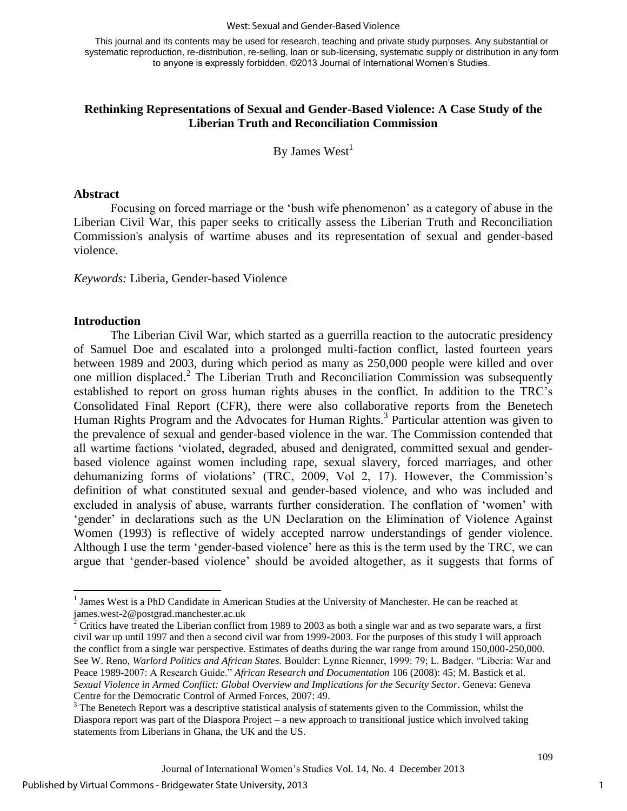#### West: Sexual and Gender-Based Violence

This journal and its contents may be used for research, teaching and private study purposes. Any substantial or systematic reproduction, re-distribution, re-selling, loan or sub-licensing, systematic supply or distribution in any form to anyone is expressly forbidden. ©2013 Journal of International Women's Studies.

#### **Rethinking Representations of Sexual and Gender-Based Violence: A Case Study of the Liberian Truth and Reconciliation Commission**

By James  $West<sup>1</sup>$ 

#### **Abstract**

Focusing on forced marriage or the 'bush wife phenomenon' as a category of abuse in the Liberian Civil War, this paper seeks to critically assess the Liberian Truth and Reconciliation Commission's analysis of wartime abuses and its representation of sexual and gender-based violence.

*Keywords:* Liberia, Gender-based Violence

#### **Introduction**

The Liberian Civil War, which started as a guerrilla reaction to the autocratic presidency of Samuel Doe and escalated into a prolonged multi-faction conflict, lasted fourteen years between 1989 and 2003, during which period as many as 250,000 people were killed and over one million displaced.<sup>2</sup> The Liberian Truth and Reconciliation Commission was subsequently established to report on gross human rights abuses in the conflict. In addition to the TRC's Consolidated Final Report (CFR), there were also collaborative reports from the Benetech Human Rights Program and the Advocates for Human Rights.<sup>3</sup> Particular attention was given to the prevalence of sexual and gender-based violence in the war. The Commission contended that all wartime factions 'violated, degraded, abused and denigrated, committed sexual and genderbased violence against women including rape, sexual slavery, forced marriages, and other dehumanizing forms of violations' (TRC, 2009, Vol 2, 17). However, the Commission's definition of what constituted sexual and gender-based violence, and who was included and excluded in analysis of abuse, warrants further consideration. The conflation of 'women' with 'gender' in declarations such as the UN Declaration on the Elimination of Violence Against Women (1993) is reflective of widely accepted narrow understandings of gender violence. Although I use the term 'gender-based violence' here as this is the term used by the TRC, we can argue that 'gender-based violence' should be avoided altogether, as it suggests that forms of

<sup>&</sup>lt;sup>1</sup> James West is a PhD Candidate in American Studies at the University of Manchester. He can be reached at james.west-2@postgrad.manchester.ac.uk

 $2^2$  Critics have treated the Liberian conflict from 1989 to 2003 as both a single war and as two separate wars, a first civil war up until 1997 and then a second civil war from 1999-2003. For the purposes of this study I will approach the conflict from a single war perspective. Estimates of deaths during the war range from around 150,000-250,000. See W. Reno, *Warlord Politics and African States.* Boulder: Lynne Rienner, 1999: 79; L. Badger. "Liberia: War and Peace 1989-2007: A Research Guide." *African Research and Documentation* 106 (2008): 45; M. Bastick et al. *Sexual Violence in Armed Conflict: Global Overview and Implications for the Security Sector*. Geneva: Geneva Centre for the Democratic Control of Armed Forces, 2007: 49.

 $3$  The Benetech Report was a descriptive statistical analysis of statements given to the Commission, whilst the Diaspora report was part of the Diaspora Project – a new approach to transitional justice which involved taking statements from Liberians in Ghana, the UK and the US.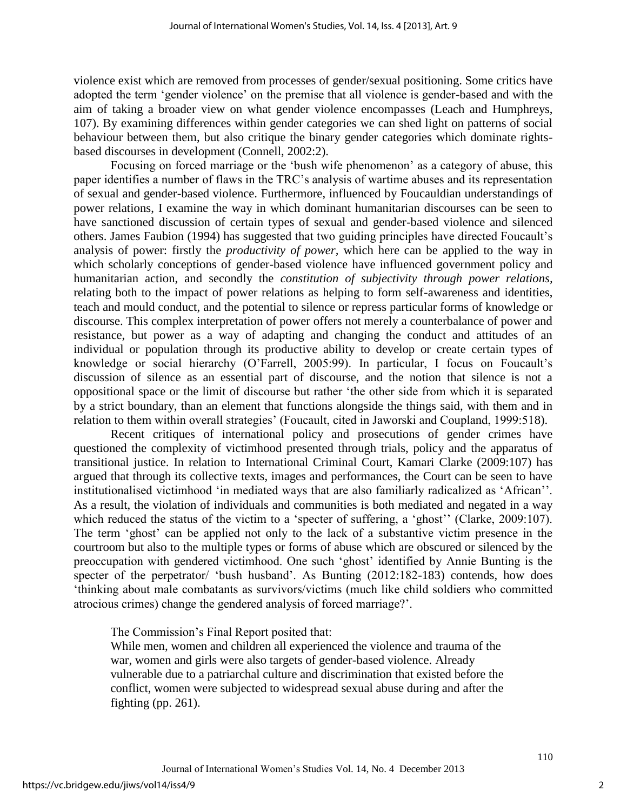violence exist which are removed from processes of gender/sexual positioning. Some critics have adopted the term 'gender violence' on the premise that all violence is gender-based and with the aim of taking a broader view on what gender violence encompasses (Leach and Humphreys, 107). By examining differences within gender categories we can shed light on patterns of social behaviour between them, but also critique the binary gender categories which dominate rightsbased discourses in development (Connell, 2002:2).

Focusing on forced marriage or the 'bush wife phenomenon' as a category of abuse, this paper identifies a number of flaws in the TRC's analysis of wartime abuses and its representation of sexual and gender-based violence. Furthermore, influenced by Foucauldian understandings of power relations, I examine the way in which dominant humanitarian discourses can be seen to have sanctioned discussion of certain types of sexual and gender-based violence and silenced others. James Faubion (1994) has suggested that two guiding principles have directed Foucault's analysis of power: firstly the *productivity of power,* which here can be applied to the way in which scholarly conceptions of gender-based violence have influenced government policy and humanitarian action, and secondly the *constitution of subjectivity through power relations,*  relating both to the impact of power relations as helping to form self-awareness and identities, teach and mould conduct, and the potential to silence or repress particular forms of knowledge or discourse. This complex interpretation of power offers not merely a counterbalance of power and resistance, but power as a way of adapting and changing the conduct and attitudes of an individual or population through its productive ability to develop or create certain types of knowledge or social hierarchy (O'Farrell, 2005:99). In particular, I focus on Foucault's discussion of silence as an essential part of discourse, and the notion that silence is not a oppositional space or the limit of discourse but rather 'the other side from which it is separated by a strict boundary, than an element that functions alongside the things said, with them and in relation to them within overall strategies' (Foucault, cited in Jaworski and Coupland, 1999:518).

Recent critiques of international policy and prosecutions of gender crimes have questioned the complexity of victimhood presented through trials, policy and the apparatus of transitional justice. In relation to International Criminal Court, Kamari Clarke (2009:107) has argued that through its collective texts, images and performances, the Court can be seen to have institutionalised victimhood 'in mediated ways that are also familiarly radicalized as 'African''. As a result, the violation of individuals and communities is both mediated and negated in a way which reduced the status of the victim to a 'specter of suffering, a 'ghost'' (Clarke, 2009:107). The term 'ghost' can be applied not only to the lack of a substantive victim presence in the courtroom but also to the multiple types or forms of abuse which are obscured or silenced by the preoccupation with gendered victimhood. One such 'ghost' identified by Annie Bunting is the specter of the perpetrator/ 'bush husband'. As Bunting (2012:182-183) contends, how does 'thinking about male combatants as survivors/victims (much like child soldiers who committed atrocious crimes) change the gendered analysis of forced marriage?'.

The Commission's Final Report posited that:

While men, women and children all experienced the violence and trauma of the war, women and girls were also targets of gender-based violence. Already vulnerable due to a patriarchal culture and discrimination that existed before the conflict, women were subjected to widespread sexual abuse during and after the fighting (pp. 261).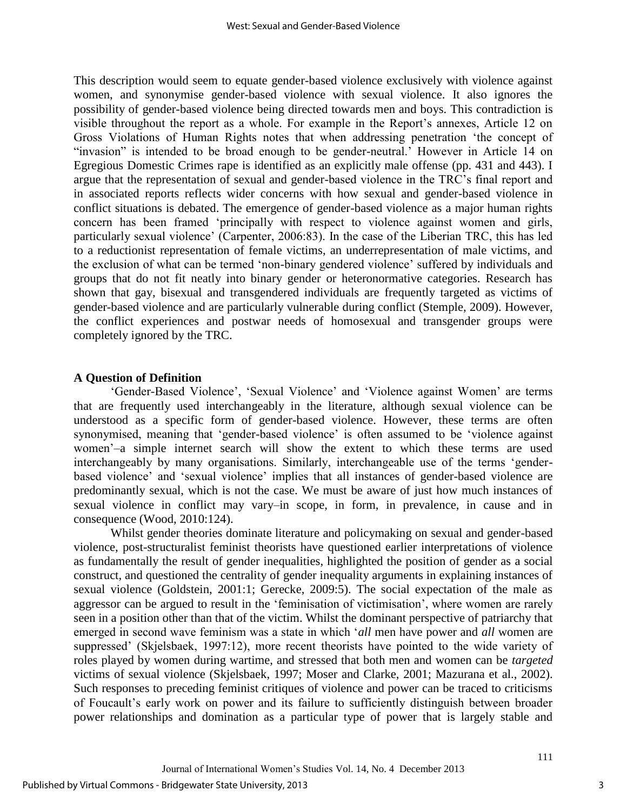This description would seem to equate gender-based violence exclusively with violence against women, and synonymise gender-based violence with sexual violence. It also ignores the possibility of gender-based violence being directed towards men and boys. This contradiction is visible throughout the report as a whole. For example in the Report's annexes, Article 12 on Gross Violations of Human Rights notes that when addressing penetration 'the concept of "invasion" is intended to be broad enough to be gender-neutral.' However in Article 14 on Egregious Domestic Crimes rape is identified as an explicitly male offense (pp. 431 and 443). I argue that the representation of sexual and gender-based violence in the TRC's final report and in associated reports reflects wider concerns with how sexual and gender-based violence in conflict situations is debated. The emergence of gender-based violence as a major human rights concern has been framed 'principally with respect to violence against women and girls, particularly sexual violence' (Carpenter, 2006:83). In the case of the Liberian TRC, this has led to a reductionist representation of female victims, an underrepresentation of male victims, and the exclusion of what can be termed 'non-binary gendered violence' suffered by individuals and groups that do not fit neatly into binary gender or heteronormative categories. Research has shown that gay, bisexual and transgendered individuals are frequently targeted as victims of gender-based violence and are particularly vulnerable during conflict (Stemple, 2009). However, the conflict experiences and postwar needs of homosexual and transgender groups were completely ignored by the TRC.

#### **A Question of Definition**

'Gender-Based Violence', 'Sexual Violence' and 'Violence against Women' are terms that are frequently used interchangeably in the literature, although sexual violence can be understood as a specific form of gender-based violence. However, these terms are often synonymised, meaning that 'gender-based violence' is often assumed to be 'violence against women'–a simple internet search will show the extent to which these terms are used interchangeably by many organisations. Similarly, interchangeable use of the terms 'genderbased violence' and 'sexual violence' implies that all instances of gender-based violence are predominantly sexual, which is not the case. We must be aware of just how much instances of sexual violence in conflict may vary–in scope, in form, in prevalence, in cause and in consequence (Wood, 2010:124).

Whilst gender theories dominate literature and policymaking on sexual and gender-based violence, post-structuralist feminist theorists have questioned earlier interpretations of violence as fundamentally the result of gender inequalities, highlighted the position of gender as a social construct, and questioned the centrality of gender inequality arguments in explaining instances of sexual violence (Goldstein, 2001:1; Gerecke, 2009:5). The social expectation of the male as aggressor can be argued to result in the 'feminisation of victimisation', where women are rarely seen in a position other than that of the victim. Whilst the dominant perspective of patriarchy that emerged in second wave feminism was a state in which '*all* men have power and *all* women are suppressed' (Skjelsbaek, 1997:12), more recent theorists have pointed to the wide variety of roles played by women during wartime, and stressed that both men and women can be *targeted* victims of sexual violence (Skjelsbaek, 1997; Moser and Clarke, 2001; Mazurana et al., 2002). Such responses to preceding feminist critiques of violence and power can be traced to criticisms of Foucault's early work on power and its failure to sufficiently distinguish between broader power relationships and domination as a particular type of power that is largely stable and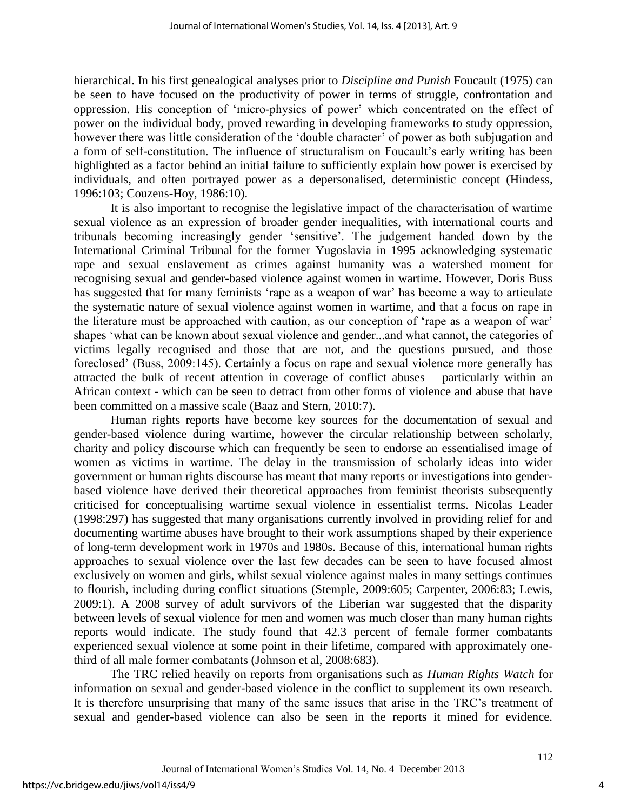hierarchical. In his first genealogical analyses prior to *Discipline and Punish* Foucault (1975) can be seen to have focused on the productivity of power in terms of struggle, confrontation and oppression. His conception of 'micro-physics of power' which concentrated on the effect of power on the individual body, proved rewarding in developing frameworks to study oppression, however there was little consideration of the 'double character' of power as both subjugation and a form of self-constitution. The influence of structuralism on Foucault's early writing has been highlighted as a factor behind an initial failure to sufficiently explain how power is exercised by individuals, and often portrayed power as a depersonalised, deterministic concept (Hindess, 1996:103; Couzens-Hoy, 1986:10).

It is also important to recognise the legislative impact of the characterisation of wartime sexual violence as an expression of broader gender inequalities, with international courts and tribunals becoming increasingly gender 'sensitive'. The judgement handed down by the International Criminal Tribunal for the former Yugoslavia in 1995 acknowledging systematic rape and sexual enslavement as crimes against humanity was a watershed moment for recognising sexual and gender-based violence against women in wartime. However, Doris Buss has suggested that for many feminists 'rape as a weapon of war' has become a way to articulate the systematic nature of sexual violence against women in wartime, and that a focus on rape in the literature must be approached with caution, as our conception of 'rape as a weapon of war' shapes 'what can be known about sexual violence and gender...and what cannot, the categories of victims legally recognised and those that are not, and the questions pursued, and those foreclosed' (Buss, 2009:145). Certainly a focus on rape and sexual violence more generally has attracted the bulk of recent attention in coverage of conflict abuses – particularly within an African context - which can be seen to detract from other forms of violence and abuse that have been committed on a massive scale (Baaz and Stern, 2010:7).

Human rights reports have become key sources for the documentation of sexual and gender-based violence during wartime, however the circular relationship between scholarly, charity and policy discourse which can frequently be seen to endorse an essentialised image of women as victims in wartime. The delay in the transmission of scholarly ideas into wider government or human rights discourse has meant that many reports or investigations into genderbased violence have derived their theoretical approaches from feminist theorists subsequently criticised for conceptualising wartime sexual violence in essentialist terms. Nicolas Leader (1998:297) has suggested that many organisations currently involved in providing relief for and documenting wartime abuses have brought to their work assumptions shaped by their experience of long-term development work in 1970s and 1980s. Because of this, international human rights approaches to sexual violence over the last few decades can be seen to have focused almost exclusively on women and girls, whilst sexual violence against males in many settings continues to flourish, including during conflict situations (Stemple, 2009:605; Carpenter, 2006:83; Lewis, 2009:1). A 2008 survey of adult survivors of the Liberian war suggested that the disparity between levels of sexual violence for men and women was much closer than many human rights reports would indicate. The study found that 42.3 percent of female former combatants experienced sexual violence at some point in their lifetime, compared with approximately onethird of all male former combatants (Johnson et al, 2008:683).

The TRC relied heavily on reports from organisations such as *Human Rights Watch* for information on sexual and gender-based violence in the conflict to supplement its own research. It is therefore unsurprising that many of the same issues that arise in the TRC's treatment of sexual and gender-based violence can also be seen in the reports it mined for evidence.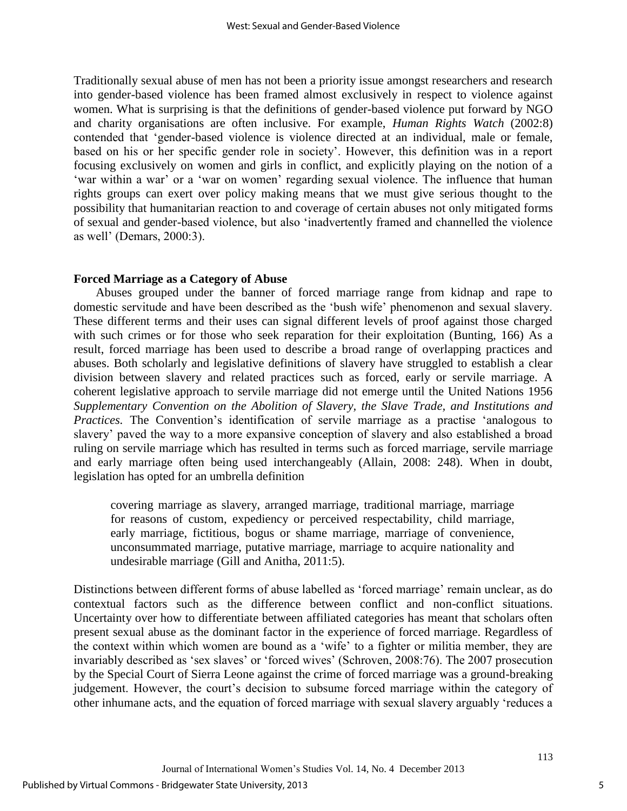Traditionally sexual abuse of men has not been a priority issue amongst researchers and research into gender-based violence has been framed almost exclusively in respect to violence against women. What is surprising is that the definitions of gender-based violence put forward by NGO and charity organisations are often inclusive. For example, *Human Rights Watch* (2002:8) contended that 'gender-based violence is violence directed at an individual, male or female, based on his or her specific gender role in society'. However, this definition was in a report focusing exclusively on women and girls in conflict, and explicitly playing on the notion of a 'war within a war' or a 'war on women' regarding sexual violence. The influence that human rights groups can exert over policy making means that we must give serious thought to the possibility that humanitarian reaction to and coverage of certain abuses not only mitigated forms of sexual and gender-based violence, but also 'inadvertently framed and channelled the violence as well' (Demars, 2000:3).

#### **Forced Marriage as a Category of Abuse**

Abuses grouped under the banner of forced marriage range from kidnap and rape to domestic servitude and have been described as the 'bush wife' phenomenon and sexual slavery. These different terms and their uses can signal different levels of proof against those charged with such crimes or for those who seek reparation for their exploitation (Bunting, 166) As a result, forced marriage has been used to describe a broad range of overlapping practices and abuses. Both scholarly and legislative definitions of slavery have struggled to establish a clear division between slavery and related practices such as forced, early or servile marriage. A coherent legislative approach to servile marriage did not emerge until the United Nations 1956 *Supplementary Convention on the Abolition of Slavery, the Slave Trade, and Institutions and Practices.* The Convention's identification of servile marriage as a practise 'analogous to slavery' paved the way to a more expansive conception of slavery and also established a broad ruling on servile marriage which has resulted in terms such as forced marriage, servile marriage and early marriage often being used interchangeably (Allain, 2008: 248). When in doubt, legislation has opted for an umbrella definition

covering marriage as slavery, arranged marriage, traditional marriage, marriage for reasons of custom, expediency or perceived respectability, child marriage, early marriage, fictitious, bogus or shame marriage, marriage of convenience, unconsummated marriage, putative marriage, marriage to acquire nationality and undesirable marriage (Gill and Anitha, 2011:5).

Distinctions between different forms of abuse labelled as 'forced marriage' remain unclear, as do contextual factors such as the difference between conflict and non-conflict situations. Uncertainty over how to differentiate between affiliated categories has meant that scholars often present sexual abuse as the dominant factor in the experience of forced marriage. Regardless of the context within which women are bound as a 'wife' to a fighter or militia member, they are invariably described as 'sex slaves' or 'forced wives' (Schroven, 2008:76). The 2007 prosecution by the Special Court of Sierra Leone against the crime of forced marriage was a ground-breaking judgement. However, the court's decision to subsume forced marriage within the category of other inhumane acts, and the equation of forced marriage with sexual slavery arguably 'reduces a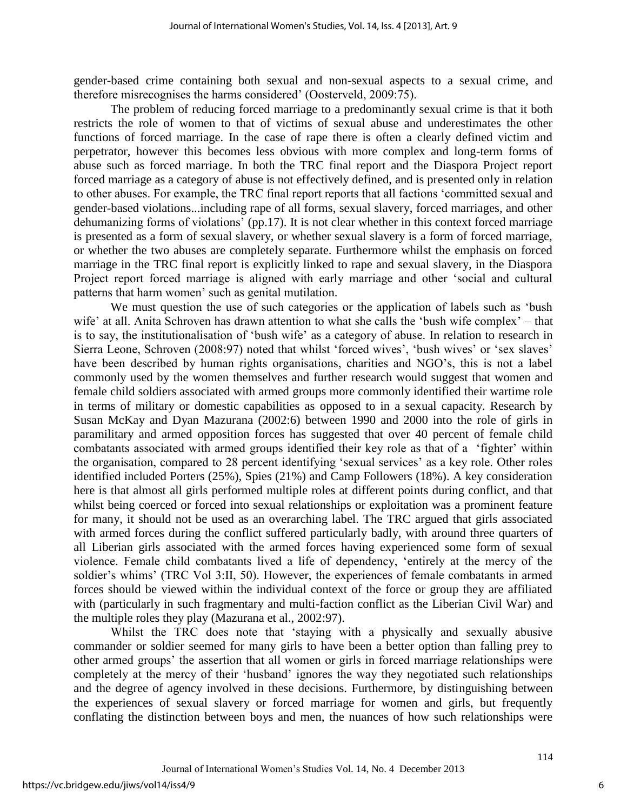gender-based crime containing both sexual and non-sexual aspects to a sexual crime, and therefore misrecognises the harms considered' (Oosterveld, 2009:75).

The problem of reducing forced marriage to a predominantly sexual crime is that it both restricts the role of women to that of victims of sexual abuse and underestimates the other functions of forced marriage. In the case of rape there is often a clearly defined victim and perpetrator, however this becomes less obvious with more complex and long-term forms of abuse such as forced marriage. In both the TRC final report and the Diaspora Project report forced marriage as a category of abuse is not effectively defined, and is presented only in relation to other abuses. For example, the TRC final report reports that all factions 'committed sexual and gender-based violations...including rape of all forms, sexual slavery, forced marriages, and other dehumanizing forms of violations' (pp.17). It is not clear whether in this context forced marriage is presented as a form of sexual slavery, or whether sexual slavery is a form of forced marriage, or whether the two abuses are completely separate. Furthermore whilst the emphasis on forced marriage in the TRC final report is explicitly linked to rape and sexual slavery, in the Diaspora Project report forced marriage is aligned with early marriage and other 'social and cultural patterns that harm women' such as genital mutilation.

We must question the use of such categories or the application of labels such as 'bush wife' at all. Anita Schroven has drawn attention to what she calls the 'bush wife complex' – that is to say, the institutionalisation of 'bush wife' as a category of abuse. In relation to research in Sierra Leone, Schroven (2008:97) noted that whilst 'forced wives', 'bush wives' or 'sex slaves' have been described by human rights organisations, charities and NGO's, this is not a label commonly used by the women themselves and further research would suggest that women and female child soldiers associated with armed groups more commonly identified their wartime role in terms of military or domestic capabilities as opposed to in a sexual capacity. Research by Susan McKay and Dyan Mazurana (2002:6) between 1990 and 2000 into the role of girls in paramilitary and armed opposition forces has suggested that over 40 percent of female child combatants associated with armed groups identified their key role as that of a 'fighter' within the organisation, compared to 28 percent identifying 'sexual services' as a key role. Other roles identified included Porters (25%), Spies (21%) and Camp Followers (18%). A key consideration here is that almost all girls performed multiple roles at different points during conflict, and that whilst being coerced or forced into sexual relationships or exploitation was a prominent feature for many, it should not be used as an overarching label. The TRC argued that girls associated with armed forces during the conflict suffered particularly badly, with around three quarters of all Liberian girls associated with the armed forces having experienced some form of sexual violence. Female child combatants lived a life of dependency, 'entirely at the mercy of the soldier's whims' (TRC Vol 3:II, 50). However, the experiences of female combatants in armed forces should be viewed within the individual context of the force or group they are affiliated with (particularly in such fragmentary and multi-faction conflict as the Liberian Civil War) and the multiple roles they play (Mazurana et al., 2002:97).

Whilst the TRC does note that 'staying with a physically and sexually abusive commander or soldier seemed for many girls to have been a better option than falling prey to other armed groups' the assertion that all women or girls in forced marriage relationships were completely at the mercy of their 'husband' ignores the way they negotiated such relationships and the degree of agency involved in these decisions. Furthermore, by distinguishing between the experiences of sexual slavery or forced marriage for women and girls, but frequently conflating the distinction between boys and men, the nuances of how such relationships were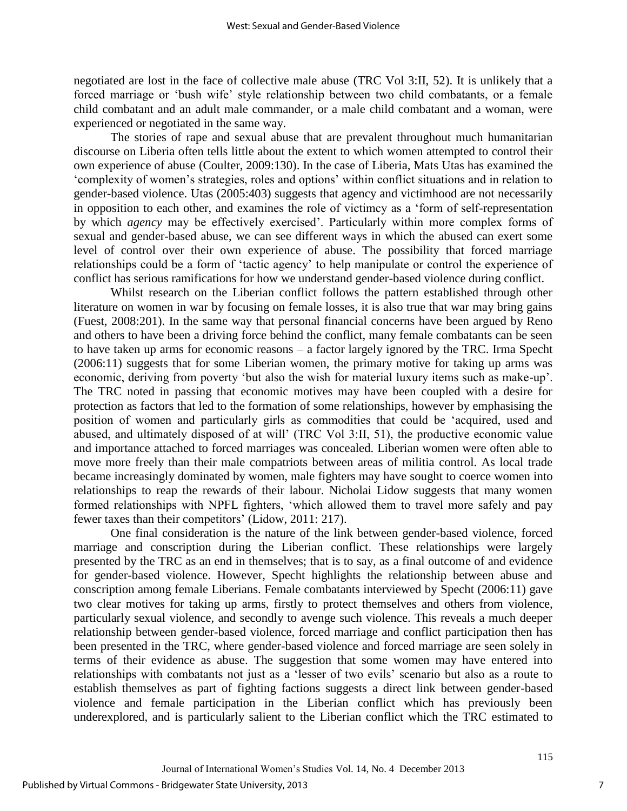negotiated are lost in the face of collective male abuse (TRC Vol 3:II, 52). It is unlikely that a forced marriage or 'bush wife' style relationship between two child combatants, or a female child combatant and an adult male commander, or a male child combatant and a woman, were experienced or negotiated in the same way.

The stories of rape and sexual abuse that are prevalent throughout much humanitarian discourse on Liberia often tells little about the extent to which women attempted to control their own experience of abuse (Coulter, 2009:130). In the case of Liberia, Mats Utas has examined the 'complexity of women's strategies, roles and options' within conflict situations and in relation to gender-based violence. Utas (2005:403) suggests that agency and victimhood are not necessarily in opposition to each other, and examines the role of victimcy as a 'form of self-representation by which *agency* may be effectively exercised'. Particularly within more complex forms of sexual and gender-based abuse, we can see different ways in which the abused can exert some level of control over their own experience of abuse. The possibility that forced marriage relationships could be a form of 'tactic agency' to help manipulate or control the experience of conflict has serious ramifications for how we understand gender-based violence during conflict.

Whilst research on the Liberian conflict follows the pattern established through other literature on women in war by focusing on female losses, it is also true that war may bring gains (Fuest, 2008:201). In the same way that personal financial concerns have been argued by Reno and others to have been a driving force behind the conflict, many female combatants can be seen to have taken up arms for economic reasons – a factor largely ignored by the TRC. Irma Specht (2006:11) suggests that for some Liberian women, the primary motive for taking up arms was economic, deriving from poverty 'but also the wish for material luxury items such as make-up'. The TRC noted in passing that economic motives may have been coupled with a desire for protection as factors that led to the formation of some relationships, however by emphasising the position of women and particularly girls as commodities that could be 'acquired, used and abused, and ultimately disposed of at will' (TRC Vol 3:II, 51), the productive economic value and importance attached to forced marriages was concealed. Liberian women were often able to move more freely than their male compatriots between areas of militia control. As local trade became increasingly dominated by women, male fighters may have sought to coerce women into relationships to reap the rewards of their labour. Nicholai Lidow suggests that many women formed relationships with NPFL fighters, 'which allowed them to travel more safely and pay fewer taxes than their competitors' (Lidow, 2011: 217).

One final consideration is the nature of the link between gender-based violence, forced marriage and conscription during the Liberian conflict. These relationships were largely presented by the TRC as an end in themselves; that is to say, as a final outcome of and evidence for gender-based violence. However, Specht highlights the relationship between abuse and conscription among female Liberians. Female combatants interviewed by Specht (2006:11) gave two clear motives for taking up arms, firstly to protect themselves and others from violence, particularly sexual violence, and secondly to avenge such violence. This reveals a much deeper relationship between gender-based violence, forced marriage and conflict participation then has been presented in the TRC, where gender-based violence and forced marriage are seen solely in terms of their evidence as abuse. The suggestion that some women may have entered into relationships with combatants not just as a 'lesser of two evils' scenario but also as a route to establish themselves as part of fighting factions suggests a direct link between gender-based violence and female participation in the Liberian conflict which has previously been underexplored, and is particularly salient to the Liberian conflict which the TRC estimated to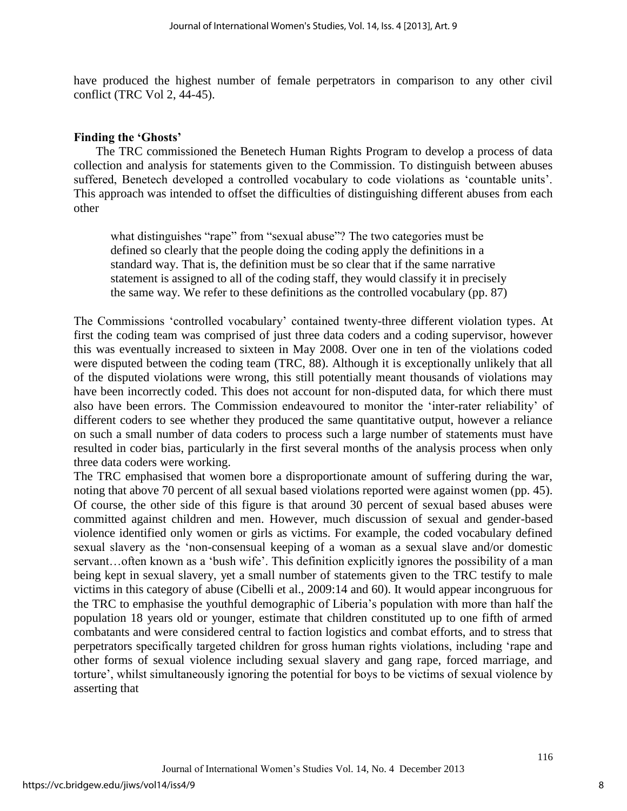have produced the highest number of female perpetrators in comparison to any other civil conflict (TRC Vol 2, 44-45).

#### **Finding the 'Ghosts'**

The TRC commissioned the Benetech Human Rights Program to develop a process of data collection and analysis for statements given to the Commission. To distinguish between abuses suffered, Benetech developed a controlled vocabulary to code violations as 'countable units'. This approach was intended to offset the difficulties of distinguishing different abuses from each other

what distinguishes "rape" from "sexual abuse"? The two categories must be defined so clearly that the people doing the coding apply the definitions in a standard way. That is, the definition must be so clear that if the same narrative statement is assigned to all of the coding staff, they would classify it in precisely the same way. We refer to these definitions as the controlled vocabulary (pp. 87)

The Commissions 'controlled vocabulary' contained twenty-three different violation types. At first the coding team was comprised of just three data coders and a coding supervisor, however this was eventually increased to sixteen in May 2008. Over one in ten of the violations coded were disputed between the coding team (TRC, 88). Although it is exceptionally unlikely that all of the disputed violations were wrong, this still potentially meant thousands of violations may have been incorrectly coded. This does not account for non-disputed data, for which there must also have been errors. The Commission endeavoured to monitor the 'inter-rater reliability' of different coders to see whether they produced the same quantitative output, however a reliance on such a small number of data coders to process such a large number of statements must have resulted in coder bias, particularly in the first several months of the analysis process when only three data coders were working.

The TRC emphasised that women bore a disproportionate amount of suffering during the war, noting that above 70 percent of all sexual based violations reported were against women (pp. 45). Of course, the other side of this figure is that around 30 percent of sexual based abuses were committed against children and men. However, much discussion of sexual and gender-based violence identified only women or girls as victims. For example, the coded vocabulary defined sexual slavery as the 'non-consensual keeping of a woman as a sexual slave and/or domestic servant...often known as a 'bush wife'. This definition explicitly ignores the possibility of a man being kept in sexual slavery, yet a small number of statements given to the TRC testify to male victims in this category of abuse (Cibelli et al., 2009:14 and 60). It would appear incongruous for the TRC to emphasise the youthful demographic of Liberia's population with more than half the population 18 years old or younger, estimate that children constituted up to one fifth of armed combatants and were considered central to faction logistics and combat efforts, and to stress that perpetrators specifically targeted children for gross human rights violations, including 'rape and other forms of sexual violence including sexual slavery and gang rape, forced marriage, and torture', whilst simultaneously ignoring the potential for boys to be victims of sexual violence by asserting that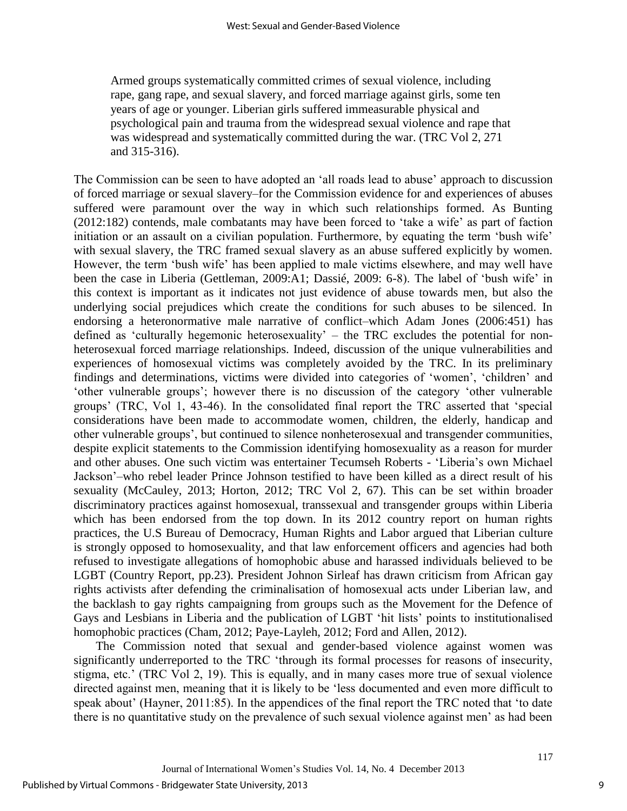Armed groups systematically committed crimes of sexual violence, including rape, gang rape, and sexual slavery, and forced marriage against girls, some ten years of age or younger. Liberian girls suffered immeasurable physical and psychological pain and trauma from the widespread sexual violence and rape that was widespread and systematically committed during the war. (TRC Vol 2, 271 and 315-316).

The Commission can be seen to have adopted an 'all roads lead to abuse' approach to discussion of forced marriage or sexual slavery–for the Commission evidence for and experiences of abuses suffered were paramount over the way in which such relationships formed. As Bunting (2012:182) contends, male combatants may have been forced to 'take a wife' as part of faction initiation or an assault on a civilian population. Furthermore, by equating the term 'bush wife' with sexual slavery, the TRC framed sexual slavery as an abuse suffered explicitly by women. However, the term 'bush wife' has been applied to male victims elsewhere, and may well have been the case in Liberia (Gettleman, 2009:A1; Dassié, 2009: 6-8). The label of 'bush wife' in this context is important as it indicates not just evidence of abuse towards men, but also the underlying social prejudices which create the conditions for such abuses to be silenced. In endorsing a heteronormative male narrative of conflict–which Adam Jones (2006:451) has defined as 'culturally hegemonic heterosexuality' – the TRC excludes the potential for nonheterosexual forced marriage relationships. Indeed, discussion of the unique vulnerabilities and experiences of homosexual victims was completely avoided by the TRC. In its preliminary findings and determinations, victims were divided into categories of 'women', 'children' and 'other vulnerable groups'; however there is no discussion of the category 'other vulnerable groups' (TRC, Vol 1, 43-46). In the consolidated final report the TRC asserted that 'special considerations have been made to accommodate women, children, the elderly, handicap and other vulnerable groups', but continued to silence nonheterosexual and transgender communities, despite explicit statements to the Commission identifying homosexuality as a reason for murder and other abuses. One such victim was entertainer Tecumseh Roberts - 'Liberia's own Michael Jackson'–who rebel leader Prince Johnson testified to have been killed as a direct result of his sexuality (McCauley, 2013; Horton, 2012; TRC Vol 2, 67). This can be set within broader discriminatory practices against homosexual, transsexual and transgender groups within Liberia which has been endorsed from the top down. In its 2012 country report on human rights practices, the U.S Bureau of Democracy, Human Rights and Labor argued that Liberian culture is strongly opposed to homosexuality, and that law enforcement officers and agencies had both refused to investigate allegations of homophobic abuse and harassed individuals believed to be LGBT (Country Report, pp.23). President Johnon Sirleaf has drawn criticism from African gay rights activists after defending the criminalisation of homosexual acts under Liberian law, and the backlash to gay rights campaigning from groups such as the Movement for the Defence of Gays and Lesbians in Liberia and the publication of LGBT 'hit lists' points to institutionalised homophobic practices (Cham, 2012; Paye-Layleh, 2012; Ford and Allen, 2012).

The Commission noted that sexual and gender-based violence against women was significantly underreported to the TRC 'through its formal processes for reasons of insecurity, stigma, etc.' (TRC Vol 2, 19). This is equally, and in many cases more true of sexual violence directed against men, meaning that it is likely to be 'less documented and even more difficult to speak about' (Hayner, 2011:85). In the appendices of the final report the TRC noted that 'to date there is no quantitative study on the prevalence of such sexual violence against men' as had been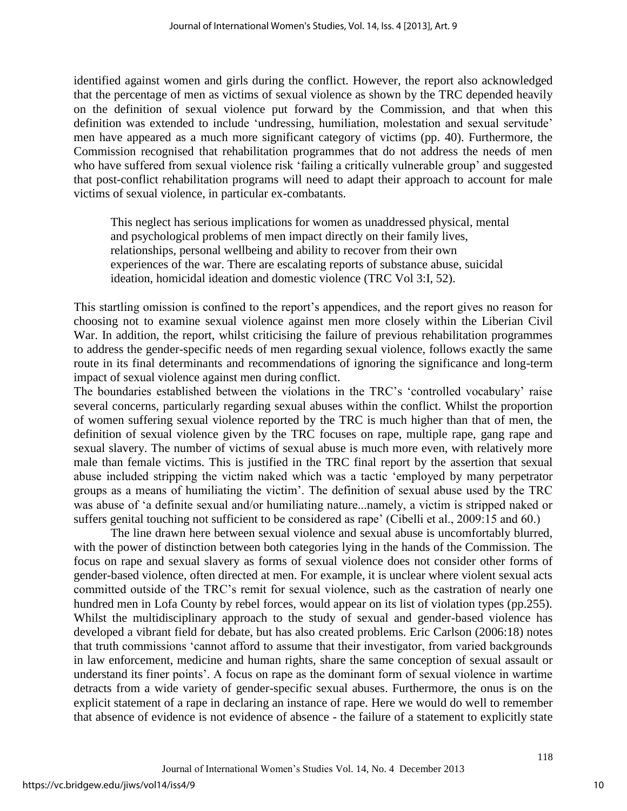identified against women and girls during the conflict. However, the report also acknowledged that the percentage of men as victims of sexual violence as shown by the TRC depended heavily on the definition of sexual violence put forward by the Commission, and that when this definition was extended to include 'undressing, humiliation, molestation and sexual servitude' men have appeared as a much more significant category of victims (pp. 40). Furthermore, the Commission recognised that rehabilitation programmes that do not address the needs of men who have suffered from sexual violence risk 'failing a critically vulnerable group' and suggested that post-conflict rehabilitation programs will need to adapt their approach to account for male victims of sexual violence, in particular ex-combatants.

This neglect has serious implications for women as unaddressed physical, mental and psychological problems of men impact directly on their family lives, relationships, personal wellbeing and ability to recover from their own experiences of the war. There are escalating reports of substance abuse, suicidal ideation, homicidal ideation and domestic violence (TRC Vol 3:I, 52).

This startling omission is confined to the report's appendices, and the report gives no reason for choosing not to examine sexual violence against men more closely within the Liberian Civil War. In addition, the report, whilst criticising the failure of previous rehabilitation programmes to address the gender-specific needs of men regarding sexual violence, follows exactly the same route in its final determinants and recommendations of ignoring the significance and long-term impact of sexual violence against men during conflict.

The boundaries established between the violations in the TRC's 'controlled vocabulary' raise several concerns, particularly regarding sexual abuses within the conflict. Whilst the proportion of women suffering sexual violence reported by the TRC is much higher than that of men, the definition of sexual violence given by the TRC focuses on rape, multiple rape, gang rape and sexual slavery. The number of victims of sexual abuse is much more even, with relatively more male than female victims. This is justified in the TRC final report by the assertion that sexual abuse included stripping the victim naked which was a tactic 'employed by many perpetrator groups as a means of humiliating the victim'. The definition of sexual abuse used by the TRC was abuse of 'a definite sexual and/or humiliating nature...namely, a victim is stripped naked or suffers genital touching not sufficient to be considered as rape' (Cibelli et al., 2009:15 and 60.)

The line drawn here between sexual violence and sexual abuse is uncomfortably blurred, with the power of distinction between both categories lying in the hands of the Commission. The focus on rape and sexual slavery as forms of sexual violence does not consider other forms of gender-based violence, often directed at men. For example, it is unclear where violent sexual acts committed outside of the TRC's remit for sexual violence, such as the castration of nearly one hundred men in Lofa County by rebel forces, would appear on its list of violation types (pp.255). Whilst the multidisciplinary approach to the study of sexual and gender-based violence has developed a vibrant field for debate, but has also created problems. Eric Carlson (2006:18) notes that truth commissions 'cannot afford to assume that their investigator, from varied backgrounds in law enforcement, medicine and human rights, share the same conception of sexual assault or understand its finer points'. A focus on rape as the dominant form of sexual violence in wartime detracts from a wide variety of gender-specific sexual abuses. Furthermore, the onus is on the explicit statement of a rape in declaring an instance of rape. Here we would do well to remember that absence of evidence is not evidence of absence - the failure of a statement to explicitly state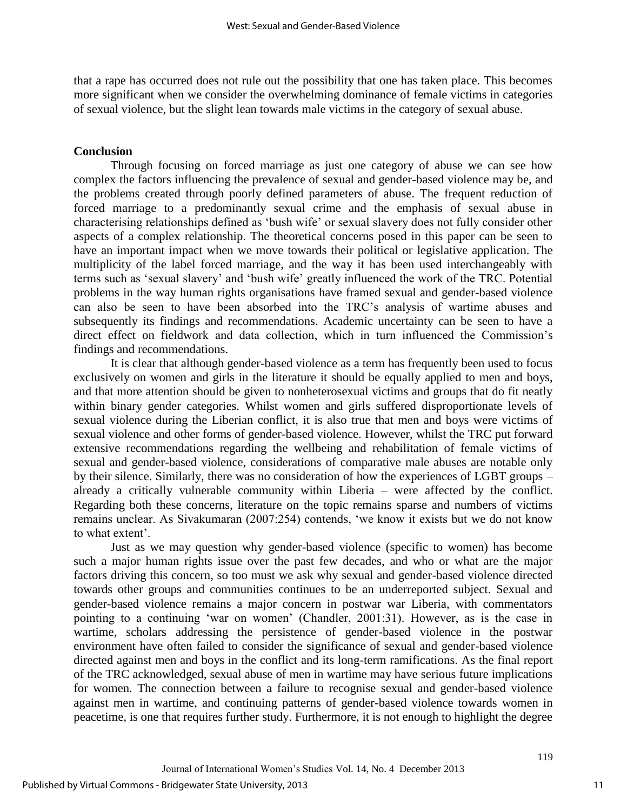that a rape has occurred does not rule out the possibility that one has taken place. This becomes more significant when we consider the overwhelming dominance of female victims in categories of sexual violence, but the slight lean towards male victims in the category of sexual abuse.

### **Conclusion**

Through focusing on forced marriage as just one category of abuse we can see how complex the factors influencing the prevalence of sexual and gender-based violence may be, and the problems created through poorly defined parameters of abuse. The frequent reduction of forced marriage to a predominantly sexual crime and the emphasis of sexual abuse in characterising relationships defined as 'bush wife' or sexual slavery does not fully consider other aspects of a complex relationship. The theoretical concerns posed in this paper can be seen to have an important impact when we move towards their political or legislative application. The multiplicity of the label forced marriage, and the way it has been used interchangeably with terms such as 'sexual slavery' and 'bush wife' greatly influenced the work of the TRC. Potential problems in the way human rights organisations have framed sexual and gender-based violence can also be seen to have been absorbed into the TRC's analysis of wartime abuses and subsequently its findings and recommendations. Academic uncertainty can be seen to have a direct effect on fieldwork and data collection, which in turn influenced the Commission's findings and recommendations.

It is clear that although gender-based violence as a term has frequently been used to focus exclusively on women and girls in the literature it should be equally applied to men and boys, and that more attention should be given to nonheterosexual victims and groups that do fit neatly within binary gender categories. Whilst women and girls suffered disproportionate levels of sexual violence during the Liberian conflict, it is also true that men and boys were victims of sexual violence and other forms of gender-based violence. However, whilst the TRC put forward extensive recommendations regarding the wellbeing and rehabilitation of female victims of sexual and gender-based violence, considerations of comparative male abuses are notable only by their silence. Similarly, there was no consideration of how the experiences of LGBT groups – already a critically vulnerable community within Liberia – were affected by the conflict. Regarding both these concerns, literature on the topic remains sparse and numbers of victims remains unclear. As Sivakumaran (2007:254) contends, 'we know it exists but we do not know to what extent'.

Just as we may question why gender-based violence (specific to women) has become such a major human rights issue over the past few decades, and who or what are the major factors driving this concern, so too must we ask why sexual and gender-based violence directed towards other groups and communities continues to be an underreported subject. Sexual and gender-based violence remains a major concern in postwar war Liberia, with commentators pointing to a continuing 'war on women' (Chandler, 2001:31). However, as is the case in wartime, scholars addressing the persistence of gender-based violence in the postwar environment have often failed to consider the significance of sexual and gender-based violence directed against men and boys in the conflict and its long-term ramifications. As the final report of the TRC acknowledged, sexual abuse of men in wartime may have serious future implications for women. The connection between a failure to recognise sexual and gender-based violence against men in wartime, and continuing patterns of gender-based violence towards women in peacetime, is one that requires further study. Furthermore, it is not enough to highlight the degree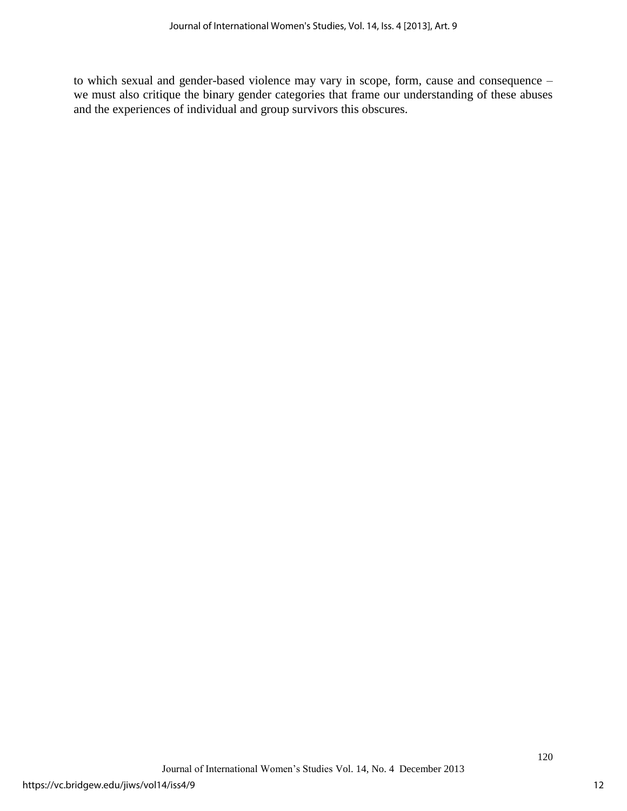to which sexual and gender-based violence may vary in scope, form, cause and consequence – we must also critique the binary gender categories that frame our understanding of these abuses and the experiences of individual and group survivors this obscures.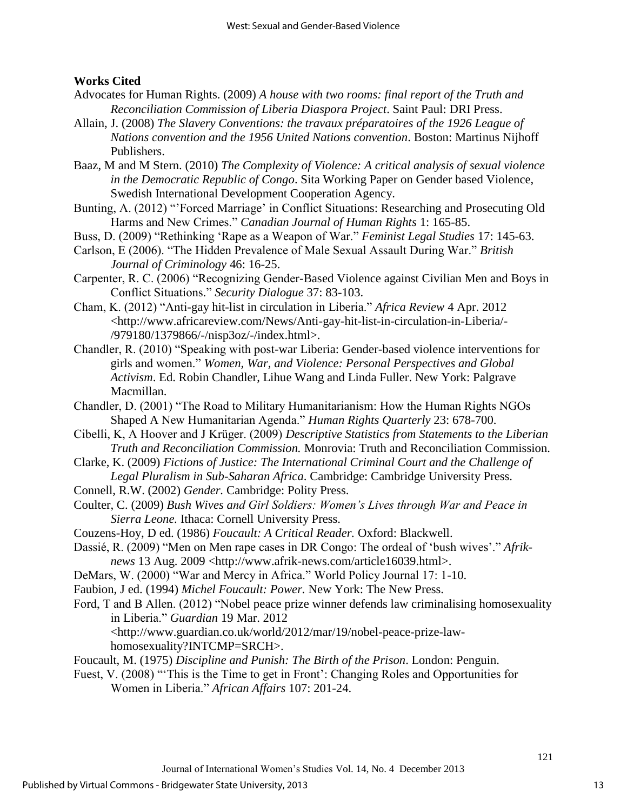### **Works Cited**

- Advocates for Human Rights. (2009) *A house with two rooms: final report of the Truth and Reconciliation Commission of Liberia Diaspora Project*. Saint Paul: DRI Press.
- Allain, J. (2008) *The Slavery Conventions: the travaux préparatoires of the 1926 League of Nations convention and the 1956 United Nations convention*. Boston: Martinus Nijhoff Publishers.
- Baaz, M and M Stern. (2010) *The Complexity of Violence: A critical analysis of sexual violence in the Democratic Republic of Congo*. Sita Working Paper on Gender based Violence, Swedish International Development Cooperation Agency.
- Bunting, A. (2012) "'Forced Marriage' in Conflict Situations: Researching and Prosecuting Old Harms and New Crimes." *Canadian Journal of Human Rights* 1: 165-85.
- Buss, D. (2009) "Rethinking 'Rape as a Weapon of War." *Feminist Legal Studies* 17: 145-63.
- Carlson, E (2006). "The Hidden Prevalence of Male Sexual Assault During War." *British Journal of Criminology* 46: 16-25.
- Carpenter, R. C. (2006) "Recognizing Gender-Based Violence against Civilian Men and Boys in Conflict Situations." *Security Dialogue* 37: 83-103.
- Cham, K. (2012) "Anti-gay hit-list in circulation in Liberia." *Africa Review* 4 Apr. 2012 <http://www.africareview.com/News/Anti-gay-hit-list-in-circulation-in-Liberia/- /979180/1379866/-/nisp3oz/-/index.html>.
- Chandler, R. (2010) "Speaking with post-war Liberia: Gender-based violence interventions for girls and women." *Women, War, and Violence: Personal Perspectives and Global Activism*. Ed. Robin Chandler, Lihue Wang and Linda Fuller. New York: Palgrave Macmillan.
- Chandler, D. (2001) "The Road to Military Humanitarianism: How the Human Rights NGOs Shaped A New Humanitarian Agenda." *Human Rights Quarterly* 23: 678-700.
- Cibelli, K, A Hoover and J Krüger. (2009) *Descriptive Statistics from Statements to the Liberian Truth and Reconciliation Commission.* Monrovia: Truth and Reconciliation Commission.
- Clarke, K. (2009) *Fictions of Justice: The International Criminal Court and the Challenge of Legal Pluralism in Sub-Saharan Africa*. Cambridge: Cambridge University Press.
- Connell, R.W. (2002) *Gender.* Cambridge: Polity Press.
- Coulter, C. (2009) *Bush Wives and Girl Soldiers: Women's Lives through War and Peace in Sierra Leone.* Ithaca: Cornell University Press.
- Couzens-Hoy, D ed. (1986) *Foucault: A Critical Reader.* Oxford: Blackwell.
- Dassié, R. (2009) "Men on Men rape cases in DR Congo: The ordeal of 'bush wives'." *Afriknews* 13 Aug. 2009 <http://www.afrik-news.com/article16039.html>.
- DeMars, W. (2000) "War and Mercy in Africa." World Policy Journal 17: 1-10.
- Faubion, J ed. (1994) *Michel Foucault: Power.* New York: The New Press.
- Ford, T and B Allen. (2012) "Nobel peace prize winner defends law criminalising homosexuality in Liberia." *Guardian* 19 Mar. 2012 <http://www.guardian.co.uk/world/2012/mar/19/nobel-peace-prize-law-

homosexuality?INTCMP=SRCH>.

- Foucault, M. (1975) *Discipline and Punish: The Birth of the Prison*. London: Penguin.
- Fuest, V. (2008) "'This is the Time to get in Front': Changing Roles and Opportunities for Women in Liberia." *African Affairs* 107: 201-24.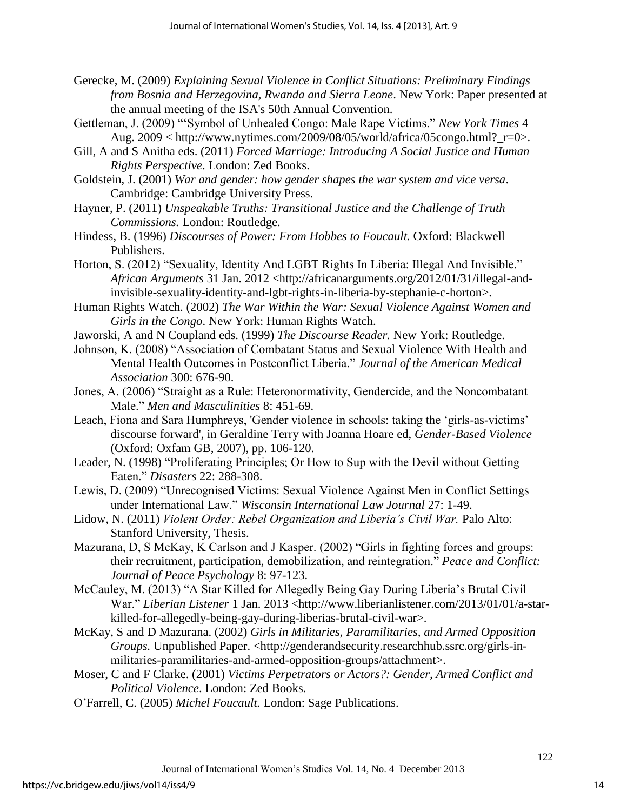- Gerecke, M. (2009) *Explaining Sexual Violence in Conflict Situations: Preliminary Findings from Bosnia and Herzegovina, Rwanda and Sierra Leone*. New York: Paper presented at the annual meeting of the ISA's 50th Annual Convention.
- Gettleman, J. (2009) "'Symbol of Unhealed Congo: Male Rape Victims." *New York Times* 4 Aug.  $2009 \leq \text{http://www.nytimes.com/2009/08/05/world/africa/05congo.html?}$  r=0>.
- Gill, A and S Anitha eds. (2011) *Forced Marriage: Introducing A Social Justice and Human Rights Perspective*. London: Zed Books.
- Goldstein, J. (2001) *War and gender: how gender shapes the war system and vice versa*. Cambridge: Cambridge University Press.
- Hayner, P. (2011) *Unspeakable Truths: Transitional Justice and the Challenge of Truth Commissions.* London: Routledge.
- Hindess, B. (1996) *Discourses of Power: From Hobbes to Foucault.* Oxford: Blackwell Publishers.
- Horton, S. (2012) "Sexuality, Identity And LGBT Rights In Liberia: Illegal And Invisible." *African Arguments* 31 Jan. 2012 <http://africanarguments.org/2012/01/31/illegal-andinvisible-sexuality-identity-and-lgbt-rights-in-liberia-by-stephanie-c-horton>.
- Human Rights Watch. (2002) *The War Within the War: Sexual Violence Against Women and Girls in the Congo*. New York: Human Rights Watch.
- Jaworski, A and N Coupland eds. (1999) *The Discourse Reader.* New York: Routledge.
- Johnson, K. (2008) "Association of Combatant Status and Sexual Violence With Health and Mental Health Outcomes in Postconflict Liberia." *Journal of the American Medical Association* 300: 676-90.
- Jones, A. (2006) "Straight as a Rule: Heteronormativity, Gendercide, and the Noncombatant Male." *Men and Masculinities* 8: 451-69.
- Leach, Fiona and Sara Humphreys, 'Gender violence in schools: taking the 'girls-as-victims' discourse forward', in Geraldine Terry with Joanna Hoare ed, *Gender-Based Violence*  (Oxford: Oxfam GB, 2007), pp. 106-120.
- Leader, N. (1998) "Proliferating Principles; Or How to Sup with the Devil without Getting Eaten." *Disasters* 22: 288-308.
- Lewis, D. (2009) "Unrecognised Victims: Sexual Violence Against Men in Conflict Settings under International Law." *Wisconsin International Law Journal* 27: 1-49.
- Lidow, N. (2011) *Violent Order: Rebel Organization and Liberia's Civil War. Palo Alto:* Stanford University, Thesis.
- Mazurana, D, S McKay, K Carlson and J Kasper. (2002) "Girls in fighting forces and groups: their recruitment, participation, demobilization, and reintegration." *Peace and Conflict: Journal of Peace Psychology* 8: 97-123.
- McCauley, M. (2013) "A Star Killed for Allegedly Being Gay During Liberia's Brutal Civil War." *Liberian Listener* 1 Jan. 2013 <http://www.liberianlistener.com/2013/01/01/a-starkilled-for-allegedly-being-gay-during-liberias-brutal-civil-war>.
- McKay, S and D Mazurana. (2002) *Girls in Militaries, Paramilitaries, and Armed Opposition Groups.* Unpublished Paper. <http://genderandsecurity.researchhub.ssrc.org/girls-inmilitaries-paramilitaries-and-armed-opposition-groups/attachment>.
- Moser, C and F Clarke. (2001) *Victims Perpetrators or Actors?: Gender, Armed Conflict and Political Violence*. London: Zed Books.
- O'Farrell, C. (2005) *Michel Foucault.* London: Sage Publications.